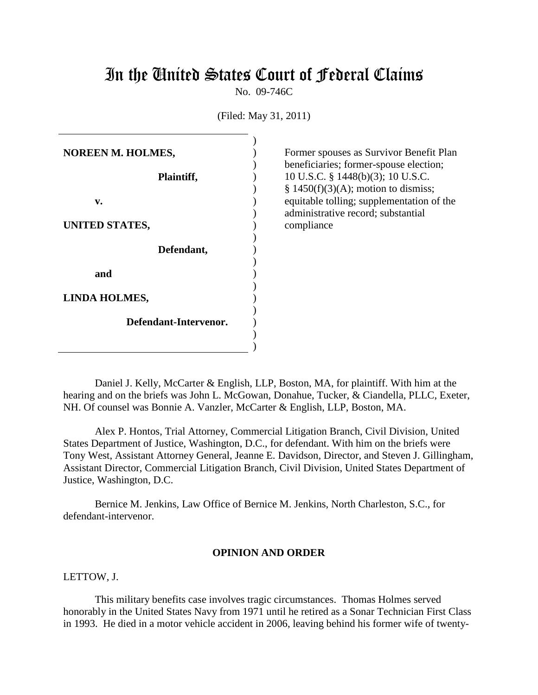# In the United States Court of Federal Claims

No. 09-746C

(Filed: May 31, 2011)

| NOREEN M. HOLMES,    |                       |  |
|----------------------|-----------------------|--|
|                      |                       |  |
|                      | Plaintiff,            |  |
|                      |                       |  |
| v.                   |                       |  |
|                      |                       |  |
| UNITED STATES,       |                       |  |
|                      |                       |  |
|                      | Defendant,            |  |
|                      |                       |  |
| and                  |                       |  |
|                      |                       |  |
| <b>LINDA HOLMES,</b> |                       |  |
|                      |                       |  |
|                      | Defendant-Intervenor. |  |
|                      |                       |  |
|                      |                       |  |

Former spouses as Survivor Benefit Plan beneficiaries; former-spouse election; 10 U.S.C. § 1448(b)(3); 10 U.S.C.  $§ 1450(f)(3)(A);$  motion to dismiss; equitable tolling; supplementation of the administrative record; substantial compliance

Daniel J. Kelly, McCarter & English, LLP, Boston, MA, for plaintiff. With him at the hearing and on the briefs was John L. McGowan, Donahue, Tucker, & Ciandella, PLLC, Exeter, NH. Of counsel was Bonnie A. Vanzler, McCarter & English, LLP, Boston, MA.

Alex P. Hontos, Trial Attorney, Commercial Litigation Branch, Civil Division, United States Department of Justice, Washington, D.C., for defendant. With him on the briefs were Tony West, Assistant Attorney General, Jeanne E. Davidson, Director, and Steven J. Gillingham, Assistant Director, Commercial Litigation Branch, Civil Division, United States Department of Justice, Washington, D.C.

Bernice M. Jenkins, Law Office of Bernice M. Jenkins, North Charleston, S.C., for defendant-intervenor.

## **OPINION AND ORDER**

LETTOW, J.

This military benefits case involves tragic circumstances. Thomas Holmes served honorably in the United States Navy from 1971 until he retired as a Sonar Technician First Class in 1993. He died in a motor vehicle accident in 2006, leaving behind his former wife of twenty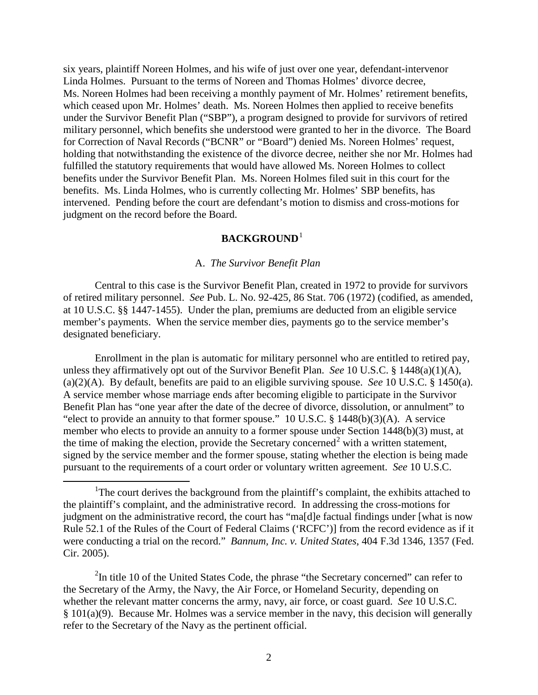six years, plaintiff Noreen Holmes, and his wife of just over one year, defendant-intervenor Linda Holmes. Pursuant to the terms of Noreen and Thomas Holmes' divorce decree, Ms. Noreen Holmes had been receiving a monthly payment of Mr. Holmes' retirement benefits, which ceased upon Mr. Holmes' death. Ms. Noreen Holmes then applied to receive benefits under the Survivor Benefit Plan ("SBP"), a program designed to provide for survivors of retired military personnel, which benefits she understood were granted to her in the divorce. The Board for Correction of Naval Records ("BCNR" or "Board") denied Ms. Noreen Holmes' request, holding that notwithstanding the existence of the divorce decree, neither she nor Mr. Holmes had fulfilled the statutory requirements that would have allowed Ms. Noreen Holmes to collect benefits under the Survivor Benefit Plan. Ms. Noreen Holmes filed suit in this court for the benefits. Ms. Linda Holmes, who is currently collecting Mr. Holmes' SBP benefits, has intervened. Pending before the court are defendant's motion to dismiss and cross-motions for judgment on the record before the Board.

# **BACKGROUND**[1](#page-1-0)

## A. *The Survivor Benefit Plan*

Central to this case is the Survivor Benefit Plan, created in 1972 to provide for survivors of retired military personnel. *See* Pub. L. No. 92-425, 86 Stat. 706 (1972) (codified, as amended, at 10 U.S.C. §§ 1447-1455). Under the plan, premiums are deducted from an eligible service member's payments. When the service member dies, payments go to the service member's designated beneficiary.

Enrollment in the plan is automatic for military personnel who are entitled to retired pay, unless they affirmatively opt out of the Survivor Benefit Plan. *See* 10 U.S.C. § 1448(a)(1)(A), (a)(2)(A). By default, benefits are paid to an eligible surviving spouse. *See* 10 U.S.C. § 1450(a). A service member whose marriage ends after becoming eligible to participate in the Survivor Benefit Plan has "one year after the date of the decree of divorce, dissolution, or annulment" to "elect to provide an annuity to that former spouse." 10 U.S.C.  $\S$  1448(b)(3)(A). A service member who elects to provide an annuity to a former spouse under Section 1448(b)(3) must, at the time of making the election, provide the Secretary concerned<sup>[2](#page-1-1)</sup> with a written statement, signed by the service member and the former spouse, stating whether the election is being made pursuant to the requirements of a court order or voluntary written agreement. *See* 10 U.S.C.

<span id="page-1-1"></span> $2$ In title 10 of the United States Code, the phrase "the Secretary concerned" can refer to the Secretary of the Army, the Navy, the Air Force, or Homeland Security, depending on whether the relevant matter concerns the army, navy, air force, or coast guard. *See* 10 U.S.C. § 101(a)(9). Because Mr. Holmes was a service member in the navy, this decision will generally refer to the Secretary of the Navy as the pertinent official.

<span id="page-1-0"></span><sup>&</sup>lt;u>1</u> <sup>1</sup>The court derives the background from the plaintiff's complaint, the exhibits attached to the plaintiff's complaint, and the administrative record. In addressing the cross-motions for judgment on the administrative record, the court has "ma[d]e factual findings under [what is now Rule 52.1 of the Rules of the Court of Federal Claims ('RCFC')] from the record evidence as if it were conducting a trial on the record." *Bannum, Inc. v. United States*, 404 F.3d 1346, 1357 (Fed. Cir. 2005).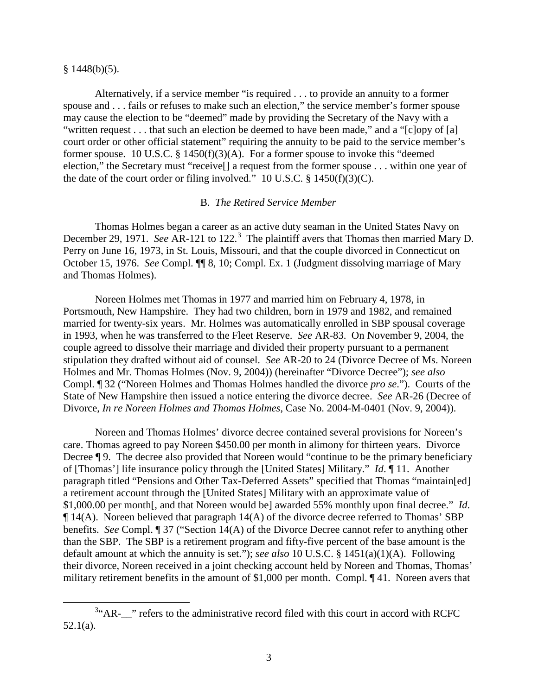#### $§$  1448(b)(5).

Alternatively, if a service member "is required . . . to provide an annuity to a former spouse and . . . fails or refuses to make such an election," the service member's former spouse may cause the election to be "deemed" made by providing the Secretary of the Navy with a "written request . . . that such an election be deemed to have been made," and a "[c]opy of [a] court order or other official statement" requiring the annuity to be paid to the service member's former spouse. 10 U.S.C. § 1450(f)(3)(A). For a former spouse to invoke this "deemed election," the Secretary must "receive[] a request from the former spouse . . . within one year of the date of the court order or filing involved." 10 U.S.C.  $\S$  1450(f)(3)(C).

## B. *The Retired Service Member*

Thomas Holmes began a career as an active duty seaman in the United States Navy on December 29, 1971. *See* AR-121 to 122.<sup>[3](#page-2-0)</sup> The plaintiff avers that Thomas then married Mary D. Perry on June 16, 1973, in St. Louis, Missouri, and that the couple divorced in Connecticut on October 15, 1976. *See* Compl. ¶¶ 8, 10; Compl. Ex. 1 (Judgment dissolving marriage of Mary and Thomas Holmes).

Noreen Holmes met Thomas in 1977 and married him on February 4, 1978, in Portsmouth, New Hampshire. They had two children, born in 1979 and 1982, and remained married for twenty-six years. Mr. Holmes was automatically enrolled in SBP spousal coverage in 1993, when he was transferred to the Fleet Reserve. *See* AR-83. On November 9, 2004, the couple agreed to dissolve their marriage and divided their property pursuant to a permanent stipulation they drafted without aid of counsel. *See* AR-20 to 24 (Divorce Decree of Ms. Noreen Holmes and Mr. Thomas Holmes (Nov. 9, 2004)) (hereinafter "Divorce Decree"); *see also* Compl. ¶ 32 ("Noreen Holmes and Thomas Holmes handled the divorce *pro se*."). Courts of the State of New Hampshire then issued a notice entering the divorce decree. *See* AR-26 (Decree of Divorce, *In re Noreen Holmes and Thomas Holmes*, Case No. 2004-M-0401 (Nov. 9, 2004)).

Noreen and Thomas Holmes' divorce decree contained several provisions for Noreen's care. Thomas agreed to pay Noreen \$450.00 per month in alimony for thirteen years. Divorce Decree ¶ 9. The decree also provided that Noreen would "continue to be the primary beneficiary of [Thomas'] life insurance policy through the [United States] Military." *Id*. ¶ 11. Another paragraph titled "Pensions and Other Tax-Deferred Assets" specified that Thomas "maintain[ed] a retirement account through the [United States] Military with an approximate value of \$1,000.00 per month[, and that Noreen would be] awarded 55% monthly upon final decree." *Id*. ¶ 14(A). Noreen believed that paragraph 14(A) of the divorce decree referred to Thomas' SBP benefits. *See* Compl. ¶ 37 ("Section 14(A) of the Divorce Decree cannot refer to anything other than the SBP. The SBP is a retirement program and fifty-five percent of the base amount is the default amount at which the annuity is set."); *see also* 10 U.S.C. § 1451(a)(1)(A). Following their divorce, Noreen received in a joint checking account held by Noreen and Thomas, Thomas' military retirement benefits in the amount of \$1,000 per month. Compl. ¶ 41. Noreen avers that

<span id="page-2-0"></span> $\frac{1}{3}$  $34$ <sup>2</sup> AR-  $\cdot$  refers to the administrative record filed with this court in accord with RCFC 52.1(a).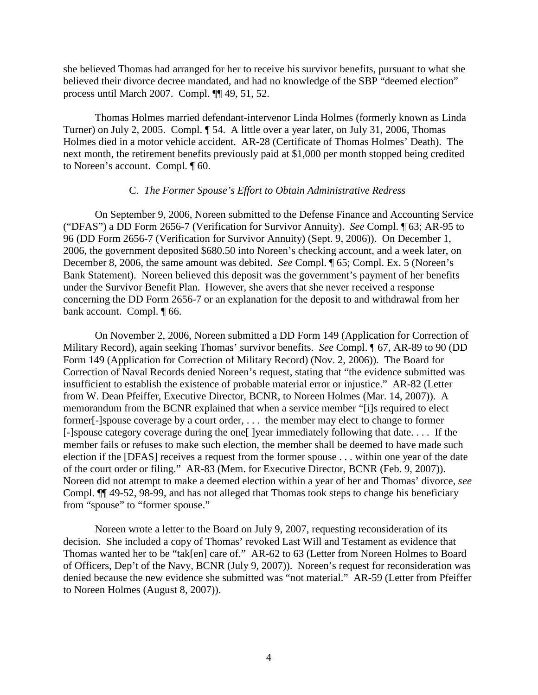she believed Thomas had arranged for her to receive his survivor benefits, pursuant to what she believed their divorce decree mandated, and had no knowledge of the SBP "deemed election" process until March 2007. Compl. ¶¶ 49, 51, 52.

Thomas Holmes married defendant-intervenor Linda Holmes (formerly known as Linda Turner) on July 2, 2005. Compl. ¶ 54. A little over a year later, on July 31, 2006, Thomas Holmes died in a motor vehicle accident. AR-28 (Certificate of Thomas Holmes' Death). The next month, the retirement benefits previously paid at \$1,000 per month stopped being credited to Noreen's account. Compl. ¶ 60.

## C. *The Former Spouse's Effort to Obtain Administrative Redress*

On September 9, 2006, Noreen submitted to the Defense Finance and Accounting Service ("DFAS") a DD Form 2656-7 (Verification for Survivor Annuity). *See* Compl. ¶ 63; AR-95 to 96 (DD Form 2656-7 (Verification for Survivor Annuity) (Sept. 9, 2006)). On December 1, 2006, the government deposited \$680.50 into Noreen's checking account, and a week later, on December 8, 2006, the same amount was debited. *See* Compl. ¶ 65; Compl. Ex. 5 (Noreen's Bank Statement). Noreen believed this deposit was the government's payment of her benefits under the Survivor Benefit Plan. However, she avers that she never received a response concerning the DD Form 2656-7 or an explanation for the deposit to and withdrawal from her bank account. Compl. ¶ 66.

On November 2, 2006, Noreen submitted a DD Form 149 (Application for Correction of Military Record), again seeking Thomas' survivor benefits. *See* Compl. ¶ 67, AR-89 to 90 (DD Form 149 (Application for Correction of Military Record) (Nov. 2, 2006)). The Board for Correction of Naval Records denied Noreen's request, stating that "the evidence submitted was insufficient to establish the existence of probable material error or injustice." AR-82 (Letter from W. Dean Pfeiffer, Executive Director, BCNR, to Noreen Holmes (Mar. 14, 2007)). A memorandum from the BCNR explained that when a service member "[i]s required to elect former[-]spouse coverage by a court order, . . . the member may elect to change to former [-]spouse category coverage during the one[ ]year immediately following that date. . . . If the member fails or refuses to make such election, the member shall be deemed to have made such election if the [DFAS] receives a request from the former spouse . . . within one year of the date of the court order or filing." AR-83 (Mem. for Executive Director, BCNR (Feb. 9, 2007)). Noreen did not attempt to make a deemed election within a year of her and Thomas' divorce, *see*  Compl. ¶¶ 49-52, 98-99, and has not alleged that Thomas took steps to change his beneficiary from "spouse" to "former spouse."

Noreen wrote a letter to the Board on July 9, 2007, requesting reconsideration of its decision. She included a copy of Thomas' revoked Last Will and Testament as evidence that Thomas wanted her to be "tak[en] care of." AR-62 to 63 (Letter from Noreen Holmes to Board of Officers, Dep't of the Navy, BCNR (July 9, 2007)). Noreen's request for reconsideration was denied because the new evidence she submitted was "not material." AR-59 (Letter from Pfeiffer to Noreen Holmes (August 8, 2007)).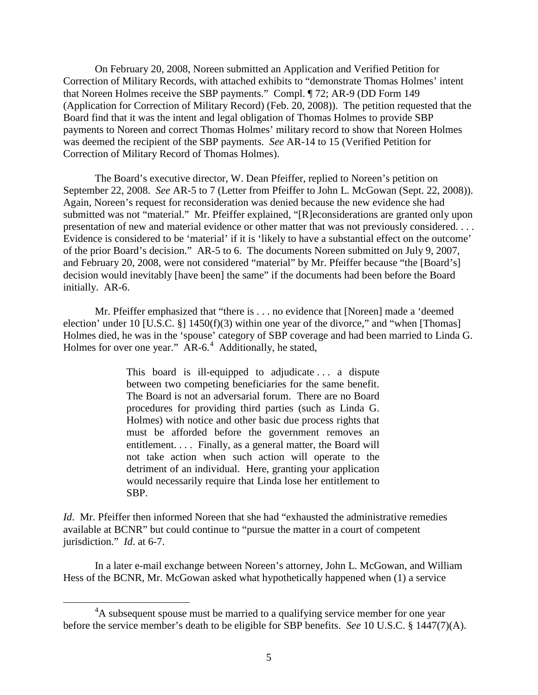On February 20, 2008, Noreen submitted an Application and Verified Petition for Correction of Military Records, with attached exhibits to "demonstrate Thomas Holmes' intent that Noreen Holmes receive the SBP payments." Compl. ¶ 72; AR-9 (DD Form 149 (Application for Correction of Military Record) (Feb. 20, 2008)). The petition requested that the Board find that it was the intent and legal obligation of Thomas Holmes to provide SBP payments to Noreen and correct Thomas Holmes' military record to show that Noreen Holmes was deemed the recipient of the SBP payments. *See* AR-14 to 15 (Verified Petition for Correction of Military Record of Thomas Holmes).

The Board's executive director, W. Dean Pfeiffer, replied to Noreen's petition on September 22, 2008. *See* AR-5 to 7 (Letter from Pfeiffer to John L. McGowan (Sept. 22, 2008)). Again, Noreen's request for reconsideration was denied because the new evidence she had submitted was not "material." Mr. Pfeiffer explained, "[R]econsiderations are granted only upon presentation of new and material evidence or other matter that was not previously considered. . . . Evidence is considered to be 'material' if it is 'likely to have a substantial effect on the outcome' of the prior Board's decision." AR-5 to 6. The documents Noreen submitted on July 9, 2007, and February 20, 2008, were not considered "material" by Mr. Pfeiffer because "the [Board's] decision would inevitably [have been] the same" if the documents had been before the Board initially. AR-6.

Mr. Pfeiffer emphasized that "there is . . . no evidence that [Noreen] made a 'deemed election' under 10 [U.S.C.  $\S$ ] 1450(f)(3) within one year of the divorce," and "when [Thomas] Holmes died, he was in the 'spouse' category of SBP coverage and had been married to Linda G. Holmes for over one year."  $AR-6.4$  $AR-6.4$  Additionally, he stated,

> This board is ill-equipped to adjudicate . . . a dispute between two competing beneficiaries for the same benefit. The Board is not an adversarial forum. There are no Board procedures for providing third parties (such as Linda G. Holmes) with notice and other basic due process rights that must be afforded before the government removes an entitlement. . . . Finally, as a general matter, the Board will not take action when such action will operate to the detriment of an individual. Here, granting your application would necessarily require that Linda lose her entitlement to SBP.

*Id*. Mr. Pfeiffer then informed Noreen that she had "exhausted the administrative remedies available at BCNR" but could continue to "pursue the matter in a court of competent jurisdiction." *Id*. at 6-7.

In a later e-mail exchange between Noreen's attorney, John L. McGowan, and William Hess of the BCNR, Mr. McGowan asked what hypothetically happened when (1) a service

<span id="page-4-0"></span> $\frac{1}{4}$ <sup>4</sup>A subsequent spouse must be married to a qualifying service member for one year before the service member's death to be eligible for SBP benefits. *See* 10 U.S.C. § 1447(7)(A).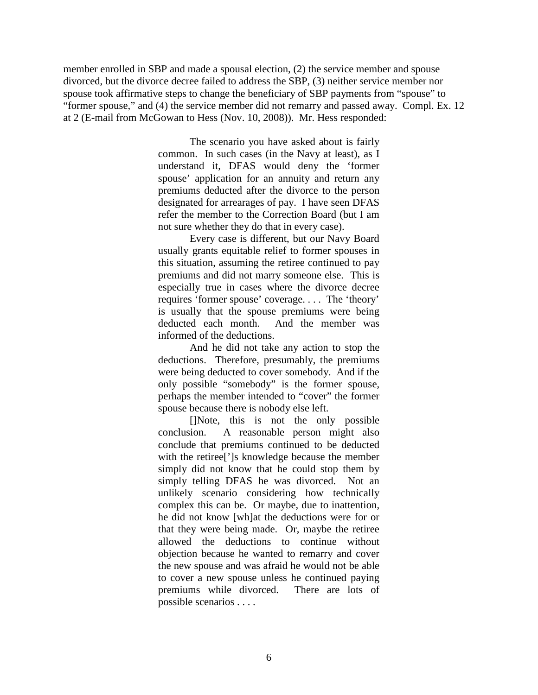member enrolled in SBP and made a spousal election, (2) the service member and spouse divorced, but the divorce decree failed to address the SBP, (3) neither service member nor spouse took affirmative steps to change the beneficiary of SBP payments from "spouse" to "former spouse," and (4) the service member did not remarry and passed away. Compl. Ex. 12 at 2 (E-mail from McGowan to Hess (Nov. 10, 2008)). Mr. Hess responded:

> The scenario you have asked about is fairly common. In such cases (in the Navy at least), as I understand it, DFAS would deny the 'former spouse' application for an annuity and return any premiums deducted after the divorce to the person designated for arrearages of pay. I have seen DFAS refer the member to the Correction Board (but I am not sure whether they do that in every case).

Every case is different, but our Navy Board usually grants equitable relief to former spouses in this situation, assuming the retiree continued to pay premiums and did not marry someone else. This is especially true in cases where the divorce decree requires 'former spouse' coverage. . . . The 'theory' is usually that the spouse premiums were being deducted each month. And the member was informed of the deductions.

And he did not take any action to stop the deductions. Therefore, presumably, the premiums were being deducted to cover somebody. And if the only possible "somebody" is the former spouse, perhaps the member intended to "cover" the former spouse because there is nobody else left.

[]Note, this is not the only possible conclusion. A reasonable person might also conclude that premiums continued to be deducted with the retiree[']s knowledge because the member simply did not know that he could stop them by simply telling DFAS he was divorced. Not an unlikely scenario considering how technically complex this can be. Or maybe, due to inattention, he did not know [wh]at the deductions were for or that they were being made. Or, maybe the retiree allowed the deductions to continue without objection because he wanted to remarry and cover the new spouse and was afraid he would not be able to cover a new spouse unless he continued paying premiums while divorced. There are lots of possible scenarios . . . .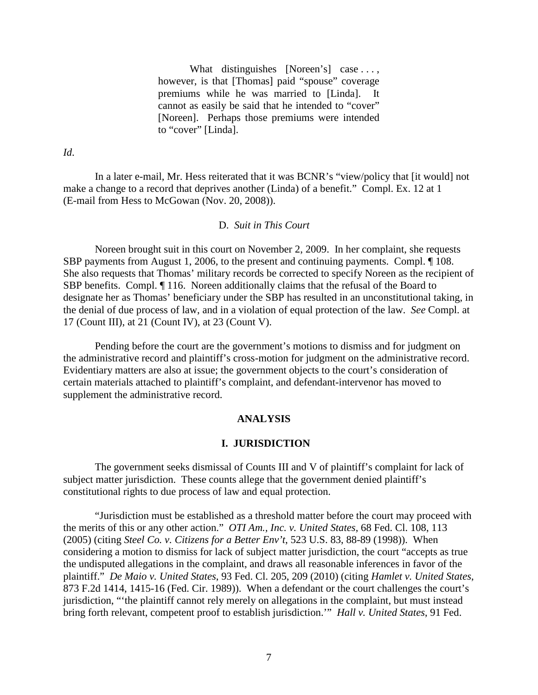What distinguishes [Noreen's] case ..., however, is that [Thomas] paid "spouse" coverage premiums while he was married to [Linda]. It cannot as easily be said that he intended to "cover" [Noreen]. Perhaps those premiums were intended to "cover" [Linda].

*Id*.

In a later e-mail, Mr. Hess reiterated that it was BCNR's "view/policy that [it would] not make a change to a record that deprives another (Linda) of a benefit." Compl. Ex. 12 at 1 (E-mail from Hess to McGowan (Nov. 20, 2008)).

#### D. *Suit in This Court*

Noreen brought suit in this court on November 2, 2009. In her complaint, she requests SBP payments from August 1, 2006, to the present and continuing payments. Compl. ¶ 108. She also requests that Thomas' military records be corrected to specify Noreen as the recipient of SBP benefits. Compl. ¶ 116. Noreen additionally claims that the refusal of the Board to designate her as Thomas' beneficiary under the SBP has resulted in an unconstitutional taking, in the denial of due process of law, and in a violation of equal protection of the law. *See* Compl. at 17 (Count III), at 21 (Count IV), at 23 (Count V).

Pending before the court are the government's motions to dismiss and for judgment on the administrative record and plaintiff's cross-motion for judgment on the administrative record. Evidentiary matters are also at issue; the government objects to the court's consideration of certain materials attached to plaintiff's complaint, and defendant-intervenor has moved to supplement the administrative record.

## **ANALYSIS**

## **I. JURISDICTION**

The government seeks dismissal of Counts III and V of plaintiff's complaint for lack of subject matter jurisdiction. These counts allege that the government denied plaintiff's constitutional rights to due process of law and equal protection.

"Jurisdiction must be established as a threshold matter before the court may proceed with the merits of this or any other action." *OTI Am., Inc. v. United States*, 68 Fed. Cl. 108, 113 (2005) (citing *Steel Co. v. Citizens for a Better Env't*, 523 U.S. 83, 88-89 (1998)). When considering a motion to dismiss for lack of subject matter jurisdiction, the court "accepts as true the undisputed allegations in the complaint, and draws all reasonable inferences in favor of the plaintiff." *De Maio v. United States*, 93 Fed. Cl. 205, 209 (2010) (citing *Hamlet v. United States*, 873 F.2d 1414, 1415-16 (Fed. Cir. 1989)). When a defendant or the court challenges the court's jurisdiction, "'the plaintiff cannot rely merely on allegations in the complaint, but must instead bring forth relevant, competent proof to establish jurisdiction.'" *Hall v. United States*, 91 Fed.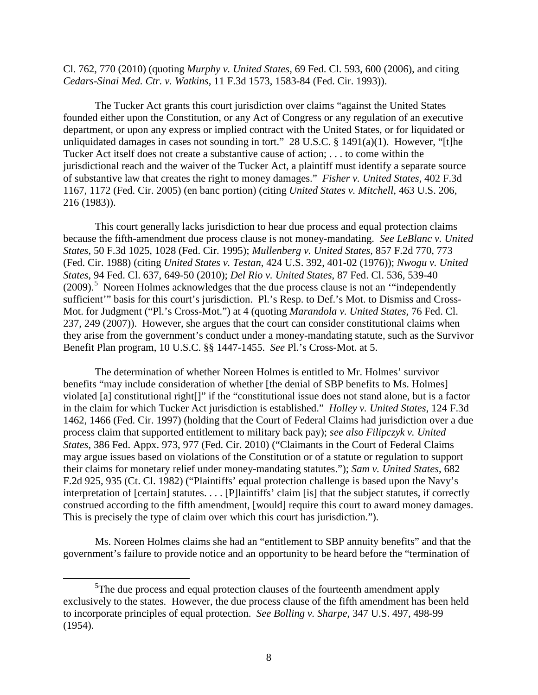Cl. 762, 770 (2010) (quoting *Murphy v. United States*, 69 Fed. Cl. 593, 600 (2006), and citing *Cedars-Sinai Med. Ctr. v. Watkins*, 11 F.3d 1573, 1583-84 (Fed. Cir. 1993)).

The Tucker Act grants this court jurisdiction over claims "against the United States founded either upon the Constitution, or any Act of Congress or any regulation of an executive department, or upon any express or implied contract with the United States, or for liquidated or unliquidated damages in cases not sounding in tort." 28 U.S.C.  $\S$  1491(a)(1). However, "[t]he Tucker Act itself does not create a substantive cause of action; . . . to come within the jurisdictional reach and the waiver of the Tucker Act, a plaintiff must identify a separate source of substantive law that creates the right to money damages." *Fisher v. United States*, 402 F.3d 1167, 1172 (Fed. Cir. 2005) (en banc portion) (citing *United States v. Mitchell*, 463 U.S. 206, 216 (1983)).

This court generally lacks jurisdiction to hear due process and equal protection claims because the fifth-amendment due process clause is not money-mandating. *See LeBlanc v. United States*, 50 F.3d 1025, 1028 (Fed. Cir. 1995); *Mullenberg v. United States*, 857 F.2d 770, 773 (Fed. Cir. 1988) (citing *United States v. Testan*, 424 U.S. 392, 401-02 (1976)); *Nwogu v. United States*, 94 Fed. Cl. 637, 649-50 (2010); *Del Rio v. United States*, 87 Fed. Cl. 536, 539-40 (2009).<sup>[5](#page-7-0)</sup> Noreen Holmes acknowledges that the due process clause is not an "independently sufficient'" basis for this court's jurisdiction. Pl.'s Resp. to Def.'s Mot. to Dismiss and Cross-Mot. for Judgment ("Pl.'s Cross-Mot.") at 4 (quoting *Marandola v. United States*, 76 Fed. Cl. 237, 249 (2007)). However, she argues that the court can consider constitutional claims when they arise from the government's conduct under a money-mandating statute, such as the Survivor Benefit Plan program, 10 U.S.C. §§ 1447-1455. *See* Pl.'s Cross-Mot. at 5.

The determination of whether Noreen Holmes is entitled to Mr. Holmes' survivor benefits "may include consideration of whether [the denial of SBP benefits to Ms. Holmes] violated [a] constitutional right[]" if the "constitutional issue does not stand alone, but is a factor in the claim for which Tucker Act jurisdiction is established." *Holley v. United States*, 124 F.3d 1462, 1466 (Fed. Cir. 1997) (holding that the Court of Federal Claims had jurisdiction over a due process claim that supported entitlement to military back pay); *see also Filipczyk v. United States*, 386 Fed. Appx. 973, 977 (Fed. Cir. 2010) ("Claimants in the Court of Federal Claims may argue issues based on violations of the Constitution or of a statute or regulation to support their claims for monetary relief under money-mandating statutes."); *Sam v. United States*, 682 F.2d 925, 935 (Ct. Cl. 1982) ("Plaintiffs' equal protection challenge is based upon the Navy's interpretation of [certain] statutes. . . . [P]laintiffs' claim [is] that the subject statutes, if correctly construed according to the fifth amendment, [would] require this court to award money damages. This is precisely the type of claim over which this court has jurisdiction.").

Ms. Noreen Holmes claims she had an "entitlement to SBP annuity benefits" and that the government's failure to provide notice and an opportunity to be heard before the "termination of

<span id="page-7-0"></span> $rac{1}{5}$  $5$ The due process and equal protection clauses of the fourteenth amendment apply exclusively to the states. However, the due process clause of the fifth amendment has been held to incorporate principles of equal protection. *See Bolling v. Sharpe*, 347 U.S. 497, 498-99 (1954).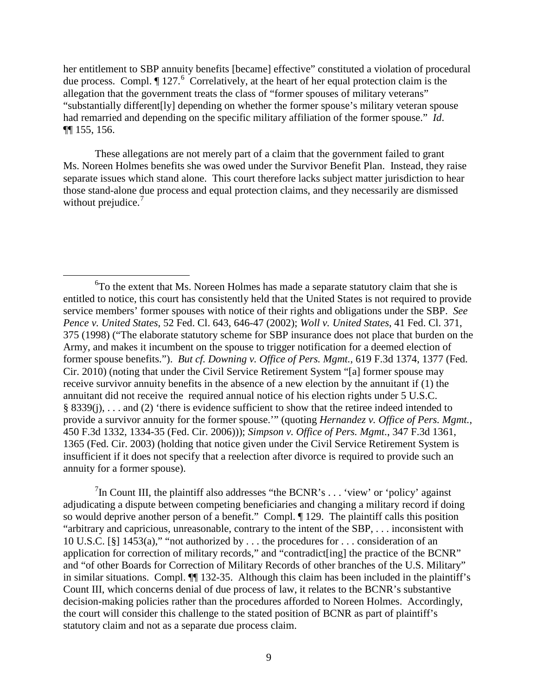her entitlement to SBP annuity benefits [became] effective" constituted a violation of procedural due process. Compl.  $\P$  127.<sup>[6](#page-8-0)</sup> Correlatively, at the heart of her equal protection claim is the allegation that the government treats the class of "former spouses of military veterans" "substantially different[ly] depending on whether the former spouse's military veteran spouse had remarried and depending on the specific military affiliation of the former spouse." *Id*. ¶¶ 155, 156.

These allegations are not merely part of a claim that the government failed to grant Ms. Noreen Holmes benefits she was owed under the Survivor Benefit Plan. Instead, they raise separate issues which stand alone. This court therefore lacks subject matter jurisdiction to hear those stand-alone due process and equal protection claims, and they necessarily are dismissed without prejudice.<sup>[7](#page-8-1)</sup>

<span id="page-8-1"></span><sup>7</sup>In Count III, the plaintiff also addresses "the BCNR's  $\dots$  'view' or 'policy' against adjudicating a dispute between competing beneficiaries and changing a military record if doing so would deprive another person of a benefit." Compl.  $\P$  129. The plaintiff calls this position "arbitrary and capricious, unreasonable, contrary to the intent of the SBP, . . . inconsistent with 10 U.S.C. [§] 1453(a)," "not authorized by . . . the procedures for . . . consideration of an application for correction of military records," and "contradict[ing] the practice of the BCNR" and "of other Boards for Correction of Military Records of other branches of the U.S. Military" in similar situations. Compl. ¶¶ 132-35. Although this claim has been included in the plaintiff's Count III, which concerns denial of due process of law, it relates to the BCNR's substantive decision-making policies rather than the procedures afforded to Noreen Holmes. Accordingly, the court will consider this challenge to the stated position of BCNR as part of plaintiff's statutory claim and not as a separate due process claim.

<span id="page-8-0"></span> $\overline{6}$  ${}^{6}$ To the extent that Ms. Noreen Holmes has made a separate statutory claim that she is entitled to notice, this court has consistently held that the United States is not required to provide service members' former spouses with notice of their rights and obligations under the SBP. *See Pence v. United States*, 52 Fed. Cl. 643, 646-47 (2002); *Woll v. United States*, 41 Fed. Cl. 371, 375 (1998) ("The elaborate statutory scheme for SBP insurance does not place that burden on the Army, and makes it incumbent on the spouse to trigger notification for a deemed election of former spouse benefits."). *But cf. Downing v. Office of Pers. Mgmt.*, 619 F.3d 1374, 1377 (Fed. Cir. 2010) (noting that under the Civil Service Retirement System "[a] former spouse may receive survivor annuity benefits in the absence of a new election by the annuitant if (1) the annuitant did not receive the required annual notice of his election rights under 5 U.S.C. § 8339(j), . . . and (2) 'there is evidence sufficient to show that the retiree indeed intended to provide a survivor annuity for the former spouse.'" (quoting *Hernandez v. Office of Pers. Mgmt.*, 450 F.3d 1332, 1334-35 (Fed. Cir. 2006))); *Simpson v. Office of Pers. Mgmt.*, 347 F.3d 1361, 1365 (Fed. Cir. 2003) (holding that notice given under the Civil Service Retirement System is insufficient if it does not specify that a reelection after divorce is required to provide such an annuity for a former spouse).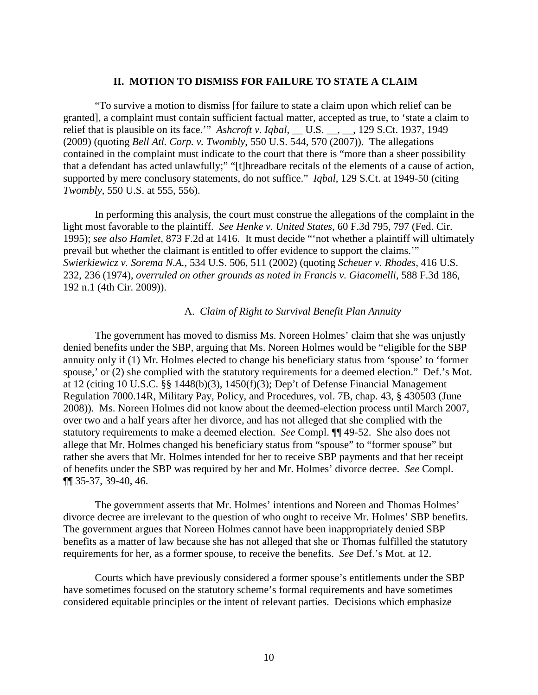## **II. MOTION TO DISMISS FOR FAILURE TO STATE A CLAIM**

"To survive a motion to dismiss [for failure to state a claim upon which relief can be granted], a complaint must contain sufficient factual matter, accepted as true, to 'state a claim to relief that is plausible on its face." *Ashcroft v. Iqbal*, \_\_ U.S. \_\_, \_\_, 129 S.Ct. 1937, 1949 (2009) (quoting *Bell Atl. Corp. v. Twombly*, 550 U.S. 544, 570 (2007)). The allegations contained in the complaint must indicate to the court that there is "more than a sheer possibility that a defendant has acted unlawfully;" "[t]hreadbare recitals of the elements of a cause of action, supported by mere conclusory statements, do not suffice." *Iqbal*, 129 S.Ct. at 1949-50 (citing *Twombly*, 550 U.S. at 555, 556).

In performing this analysis, the court must construe the allegations of the complaint in the light most favorable to the plaintiff. *See Henke v. United States*, 60 F.3d 795, 797 (Fed. Cir. 1995); *see also Hamlet*, 873 F.2d at 1416. It must decide "'not whether a plaintiff will ultimately prevail but whether the claimant is entitled to offer evidence to support the claims.'" *Swierkiewicz v. Sorema N.A.*, 534 U.S. 506, 511 (2002) (quoting *Scheuer v. Rhodes*, 416 U.S. 232, 236 (1974), *overruled on other grounds as noted in Francis v. Giacomelli*, 588 F.3d 186, 192 n.1 (4th Cir. 2009)).

## A. *Claim of Right to Survival Benefit Plan Annuity*

The government has moved to dismiss Ms. Noreen Holmes' claim that she was unjustly denied benefits under the SBP, arguing that Ms. Noreen Holmes would be "eligible for the SBP annuity only if (1) Mr. Holmes elected to change his beneficiary status from 'spouse' to 'former spouse,' or (2) she complied with the statutory requirements for a deemed election." Def.'s Mot. at 12 (citing 10 U.S.C. §§ 1448(b)(3), 1450(f)(3); Dep't of Defense Financial Management Regulation 7000.14R, Military Pay, Policy, and Procedures, vol. 7B, chap. 43, § 430503 (June 2008)). Ms. Noreen Holmes did not know about the deemed-election process until March 2007, over two and a half years after her divorce, and has not alleged that she complied with the statutory requirements to make a deemed election. *See* Compl. ¶¶ 49-52. She also does not allege that Mr. Holmes changed his beneficiary status from "spouse" to "former spouse" but rather she avers that Mr. Holmes intended for her to receive SBP payments and that her receipt of benefits under the SBP was required by her and Mr. Holmes' divorce decree. *See* Compl. ¶¶ 35-37, 39-40, 46.

The government asserts that Mr. Holmes' intentions and Noreen and Thomas Holmes' divorce decree are irrelevant to the question of who ought to receive Mr. Holmes' SBP benefits. The government argues that Noreen Holmes cannot have been inappropriately denied SBP benefits as a matter of law because she has not alleged that she or Thomas fulfilled the statutory requirements for her, as a former spouse, to receive the benefits. *See* Def.'s Mot. at 12.

Courts which have previously considered a former spouse's entitlements under the SBP have sometimes focused on the statutory scheme's formal requirements and have sometimes considered equitable principles or the intent of relevant parties. Decisions which emphasize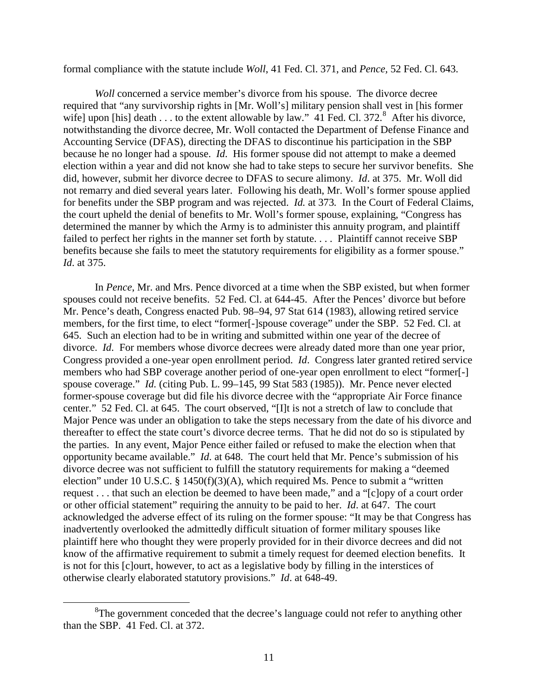formal compliance with the statute include *Woll*, 41 Fed. Cl. 371, and *Pence,* 52 Fed. Cl. 643.

*Woll* concerned a service member's divorce from his spouse. The divorce decree required that "any survivorship rights in [Mr. Woll's] military pension shall vest in [his former wife] upon [his] death . . . to the extent allowable by law."  $41$  Fed. Cl. 372. After his divorce, notwithstanding the divorce decree, Mr. Woll contacted the Department of Defense Finance and Accounting Service (DFAS), directing the DFAS to discontinue his participation in the SBP because he no longer had a spouse. *Id*. His former spouse did not attempt to make a deemed election within a year and did not know she had to take steps to secure her survivor benefits. She did, however, submit her divorce decree to DFAS to secure alimony. *Id*. at 375. Mr. Woll did not remarry and died several years later. Following his death, Mr. Woll's former spouse applied for benefits under the SBP program and was rejected. *Id.* at 373*.* In the Court of Federal Claims, the court upheld the denial of benefits to Mr. Woll's former spouse, explaining, "Congress has determined the manner by which the Army is to administer this annuity program, and plaintiff failed to perfect her rights in the manner set forth by statute.... Plaintiff cannot receive SBP benefits because she fails to meet the statutory requirements for eligibility as a former spouse." *Id*. at 375.

In *Pence*, Mr. and Mrs. Pence divorced at a time when the SBP existed, but when former spouses could not receive benefits. 52 Fed. Cl. at 644-45. After the Pences' divorce but before Mr. Pence's death, Congress enacted Pub. 98–94, 97 Stat 614 (1983), allowing retired service members, for the first time, to elect "former[-]spouse coverage" under the SBP. 52 Fed. Cl. at 645. Such an election had to be in writing and submitted within one year of the decree of divorce. *Id*. For members whose divorce decrees were already dated more than one year prior, Congress provided a one-year open enrollment period. *Id*. Congress later granted retired service members who had SBP coverage another period of one-year open enrollment to elect "former[-] spouse coverage." *Id.* (citing Pub. L. 99–145, 99 Stat 583 (1985)). Mr. Pence never elected former-spouse coverage but did file his divorce decree with the "appropriate Air Force finance center." 52 Fed. Cl. at 645. The court observed, "[I]t is not a stretch of law to conclude that Major Pence was under an obligation to take the steps necessary from the date of his divorce and thereafter to effect the state court's divorce decree terms. That he did not do so is stipulated by the parties. In any event, Major Pence either failed or refused to make the election when that opportunity became available." *Id*. at 648. The court held that Mr. Pence's submission of his divorce decree was not sufficient to fulfill the statutory requirements for making a "deemed election" under 10 U.S.C. § 1450(f)(3)(A), which required Ms. Pence to submit a "written request . . . that such an election be deemed to have been made," and a "[c]opy of a court order or other official statement" requiring the annuity to be paid to her. *Id*. at 647. The court acknowledged the adverse effect of its ruling on the former spouse: "It may be that Congress has inadvertently overlooked the admittedly difficult situation of former military spouses like plaintiff here who thought they were properly provided for in their divorce decrees and did not know of the affirmative requirement to submit a timely request for deemed election benefits. It is not for this [c]ourt, however, to act as a legislative body by filling in the interstices of otherwise clearly elaborated statutory provisions." *Id*. at 648-49.

<span id="page-10-0"></span> $\frac{1}{8}$  ${}^{8}$ The government conceded that the decree's language could not refer to anything other than the SBP. 41 Fed. Cl. at 372.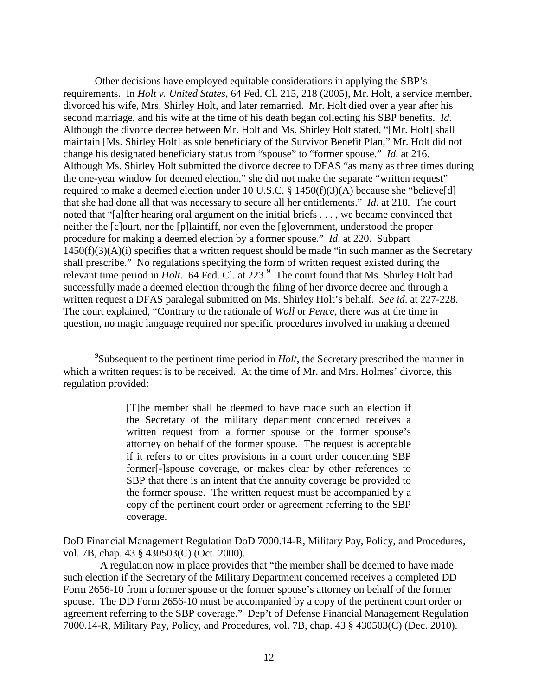Other decisions have employed equitable considerations in applying the SBP's requirements. In *Holt v. United States*, 64 Fed. Cl. 215, 218 (2005), Mr. Holt, a service member, divorced his wife, Mrs. Shirley Holt, and later remarried. Mr. Holt died over a year after his second marriage, and his wife at the time of his death began collecting his SBP benefits. *Id*. Although the divorce decree between Mr. Holt and Ms. Shirley Holt stated, "[Mr. Holt] shall maintain [Ms. Shirley Holt] as sole beneficiary of the Survivor Benefit Plan," Mr. Holt did not change his designated beneficiary status from "spouse" to "former spouse." *Id*. at 216. Although Ms. Shirley Holt submitted the divorce decree to DFAS "as many as three times during the one-year window for deemed election," she did not make the separate "written request" required to make a deemed election under 10 U.S.C. § 1450(f)(3)(A) because she "believe[d] that she had done all that was necessary to secure all her entitlements." *Id*. at 218. The court noted that "[a]fter hearing oral argument on the initial briefs . . . , we became convinced that neither the [c]ourt, nor the [p]laintiff, nor even the [g]overnment, understood the proper procedure for making a deemed election by a former spouse." *Id*. at 220. Subpart  $1450(f)(3)(A)(i)$  specifies that a written request should be made "in such manner as the Secretary shall prescribe." No regulations specifying the form of written request existed during the relevant time period in *Holt*. 64 Fed. Cl. at 223.<sup>[9](#page-11-0)</sup> The court found that Ms. Shirley Holt had successfully made a deemed election through the filing of her divorce decree and through a written request a DFAS paralegal submitted on Ms. Shirley Holt's behalf. *See id*. at 227-228. The court explained, "Contrary to the rationale of *Woll* or *Pence*, there was at the time in question, no magic language required nor specific procedures involved in making a deemed

[T]he member shall be deemed to have made such an election if the Secretary of the military department concerned receives a written request from a former spouse or the former spouse's attorney on behalf of the former spouse. The request is acceptable if it refers to or cites provisions in a court order concerning SBP former[-]spouse coverage, or makes clear by other references to SBP that there is an intent that the annuity coverage be provided to the former spouse. The written request must be accompanied by a copy of the pertinent court order or agreement referring to the SBP coverage.

DoD Financial Management Regulation DoD 7000.14-R, Military Pay, Policy, and Procedures, vol. 7B, chap. 43 § 430503(C) (Oct. 2000).

 A regulation now in place provides that "the member shall be deemed to have made such election if the Secretary of the Military Department concerned receives a completed DD Form 2656-10 from a former spouse or the former spouse's attorney on behalf of the former spouse. The DD Form 2656-10 must be accompanied by a copy of the pertinent court order or agreement referring to the SBP coverage." Dep't of Defense Financial Management Regulation 7000.14-R, Military Pay, Policy, and Procedures, vol. 7B, chap. 43 § 430503(C) (Dec. 2010).

<span id="page-11-0"></span> <sup>9</sup> Subsequent to the pertinent time period in *Holt*, the Secretary prescribed the manner in which a written request is to be received. At the time of Mr. and Mrs. Holmes' divorce, this regulation provided: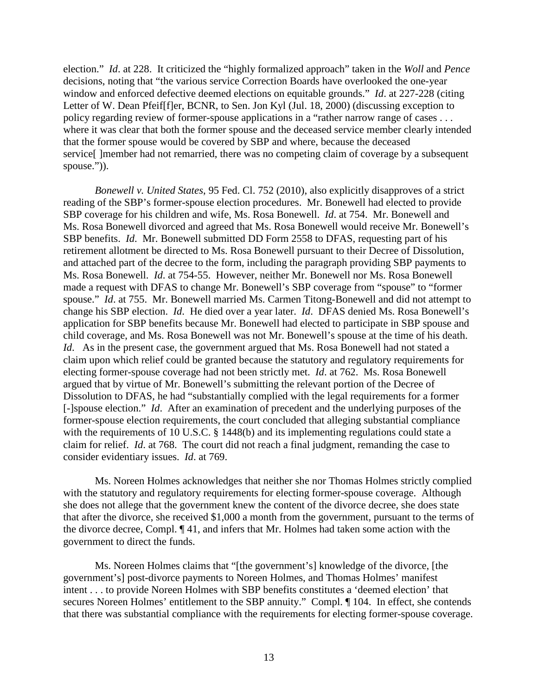election." *Id*. at 228. It criticized the "highly formalized approach" taken in the *Woll* and *Pence* decisions, noting that "the various service Correction Boards have overlooked the one-year window and enforced defective deemed elections on equitable grounds." *Id*. at 227-228 (citing Letter of W. Dean Pfeif[f]er, BCNR, to Sen. Jon Kyl (Jul. 18, 2000) (discussing exception to policy regarding review of former-spouse applications in a "rather narrow range of cases . . . where it was clear that both the former spouse and the deceased service member clearly intended that the former spouse would be covered by SBP and where, because the deceased service[ ]member had not remarried, there was no competing claim of coverage by a subsequent spouse.")).

*Bonewell v. United States*, 95 Fed. Cl. 752 (2010), also explicitly disapproves of a strict reading of the SBP's former-spouse election procedures. Mr. Bonewell had elected to provide SBP coverage for his children and wife, Ms. Rosa Bonewell. *Id*. at 754. Mr. Bonewell and Ms. Rosa Bonewell divorced and agreed that Ms. Rosa Bonewell would receive Mr. Bonewell's SBP benefits. *Id*. Mr. Bonewell submitted DD Form 2558 to DFAS, requesting part of his retirement allotment be directed to Ms. Rosa Bonewell pursuant to their Decree of Dissolution, and attached part of the decree to the form, including the paragraph providing SBP payments to Ms. Rosa Bonewell. *Id*. at 754-55. However, neither Mr. Bonewell nor Ms. Rosa Bonewell made a request with DFAS to change Mr. Bonewell's SBP coverage from "spouse" to "former spouse." *Id*. at 755. Mr. Bonewell married Ms. Carmen Titong-Bonewell and did not attempt to change his SBP election. *Id*. He died over a year later. *Id*. DFAS denied Ms. Rosa Bonewell's application for SBP benefits because Mr. Bonewell had elected to participate in SBP spouse and child coverage, and Ms. Rosa Bonewell was not Mr. Bonewell's spouse at the time of his death. *Id*. As in the present case, the government argued that Ms. Rosa Bonewell had not stated a claim upon which relief could be granted because the statutory and regulatory requirements for electing former-spouse coverage had not been strictly met. *Id*. at 762. Ms. Rosa Bonewell argued that by virtue of Mr. Bonewell's submitting the relevant portion of the Decree of Dissolution to DFAS, he had "substantially complied with the legal requirements for a former [-]spouse election." *Id*. After an examination of precedent and the underlying purposes of the former-spouse election requirements, the court concluded that alleging substantial compliance with the requirements of 10 U.S.C. § 1448(b) and its implementing regulations could state a claim for relief. *Id*. at 768. The court did not reach a final judgment, remanding the case to consider evidentiary issues. *Id*. at 769.

Ms. Noreen Holmes acknowledges that neither she nor Thomas Holmes strictly complied with the statutory and regulatory requirements for electing former-spouse coverage. Although she does not allege that the government knew the content of the divorce decree, she does state that after the divorce, she received \$1,000 a month from the government, pursuant to the terms of the divorce decree, Compl. ¶ 41, and infers that Mr. Holmes had taken some action with the government to direct the funds.

Ms. Noreen Holmes claims that "[the government's] knowledge of the divorce, [the government's] post-divorce payments to Noreen Holmes, and Thomas Holmes' manifest intent . . . to provide Noreen Holmes with SBP benefits constitutes a 'deemed election' that secures Noreen Holmes' entitlement to the SBP annuity." Compl. ¶ 104. In effect, she contends that there was substantial compliance with the requirements for electing former-spouse coverage.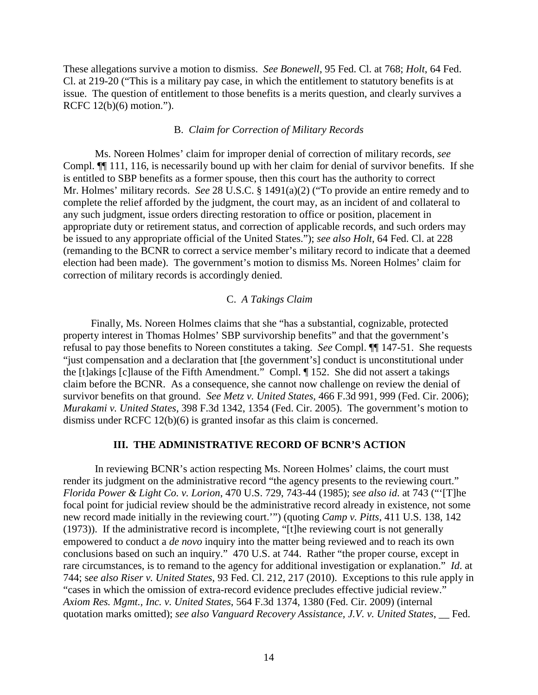These allegations survive a motion to dismiss. *See Bonewell*, 95 Fed. Cl. at 768; *Holt*, 64 Fed. Cl. at 219-20 ("This is a military pay case, in which the entitlement to statutory benefits is at issue. The question of entitlement to those benefits is a merits question, and clearly survives a RCFC 12(b)(6) motion.").

## B. *Claim for Correction of Military Records*

Ms. Noreen Holmes' claim for improper denial of correction of military records, *see*  Compl. ¶¶ 111, 116, is necessarily bound up with her claim for denial of survivor benefits. If she is entitled to SBP benefits as a former spouse, then this court has the authority to correct Mr. Holmes' military records. *See* 28 U.S.C. § 1491(a)(2) ("To provide an entire remedy and to complete the relief afforded by the judgment, the court may, as an incident of and collateral to any such judgment, issue orders directing restoration to office or position, placement in appropriate duty or retirement status, and correction of applicable records, and such orders may be issued to any appropriate official of the United States."); *see also Holt*, 64 Fed. Cl. at 228 (remanding to the BCNR to correct a service member's military record to indicate that a deemed election had been made). The government's motion to dismiss Ms. Noreen Holmes' claim for correction of military records is accordingly denied.

## C. *A Takings Claim*

Finally, Ms. Noreen Holmes claims that she "has a substantial, cognizable, protected property interest in Thomas Holmes' SBP survivorship benefits" and that the government's refusal to pay those benefits to Noreen constitutes a taking. *See* Compl. ¶¶ 147-51. She requests "just compensation and a declaration that [the government's] conduct is unconstitutional under the [t]akings [c]lause of the Fifth Amendment." Compl. ¶ 152. She did not assert a takings claim before the BCNR. As a consequence, she cannot now challenge on review the denial of survivor benefits on that ground. *See Metz v. United States*, 466 F.3d 991, 999 (Fed. Cir. 2006); *Murakami v. United States*, 398 F.3d 1342, 1354 (Fed. Cir. 2005). The government's motion to dismiss under RCFC 12(b)(6) is granted insofar as this claim is concerned.

## **III. THE ADMINISTRATIVE RECORD OF BCNR'S ACTION**

In reviewing BCNR's action respecting Ms. Noreen Holmes' claims, the court must render its judgment on the administrative record "the agency presents to the reviewing court." *Florida Power & Light Co. v. Lorion*, 470 U.S. 729, 743-44 (1985); *see also id*. at 743 ("'[T]he focal point for judicial review should be the administrative record already in existence, not some new record made initially in the reviewing court.'") (quoting *Camp v. Pitts*, 411 U.S. 138, 142 (1973)). If the administrative record is incomplete, "[t]he reviewing court is not generally empowered to conduct a *de novo* inquiry into the matter being reviewed and to reach its own conclusions based on such an inquiry." 470 U.S. at 744. Rather "the proper course, except in rare circumstances, is to remand to the agency for additional investigation or explanation." *Id*. at 744; s*ee also Riser v. United States*, 93 Fed. Cl. 212, 217 (2010). Exceptions to this rule apply in "cases in which the omission of extra-record evidence precludes effective judicial review." *Axiom Res. Mgmt., Inc. v. United States*, 564 F.3d 1374, 1380 (Fed. Cir. 2009) (internal quotation marks omitted); *see also Vanguard Recovery Assistance, J.V. v. United States*, \_\_ Fed.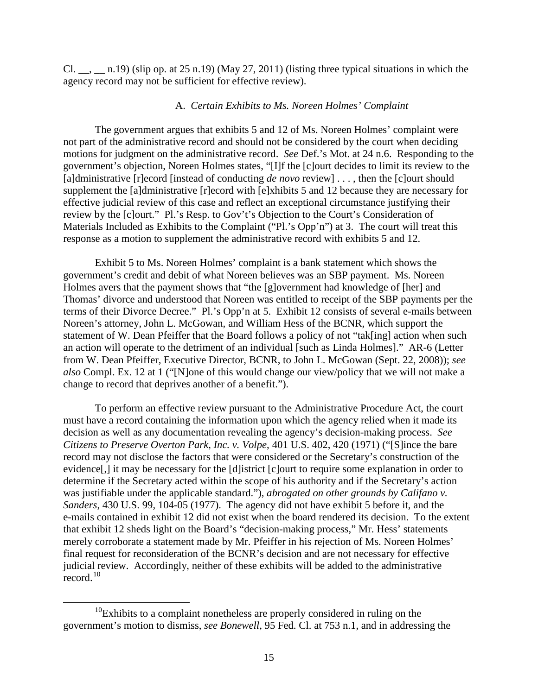Cl.  $\_\_$ ,  $\_\_$ n.19) (slip op. at 25 n.19) (May 27, 2011) (listing three typical situations in which the agency record may not be sufficient for effective review).

## A. *Certain Exhibits to Ms. Noreen Holmes' Complaint*

The government argues that exhibits 5 and 12 of Ms. Noreen Holmes' complaint were not part of the administrative record and should not be considered by the court when deciding motions for judgment on the administrative record. *See* Def.'s Mot. at 24 n.6. Responding to the government's objection, Noreen Holmes states, "[I]f the [c]ourt decides to limit its review to the [a]dministrative [r]ecord [instead of conducting *de novo* review] . . . , then the [c]ourt should supplement the [a]dministrative [r]ecord with [e]xhibits 5 and 12 because they are necessary for effective judicial review of this case and reflect an exceptional circumstance justifying their review by the [c]ourt." Pl.'s Resp. to Gov't's Objection to the Court's Consideration of Materials Included as Exhibits to the Complaint ("Pl.'s Opp'n") at 3. The court will treat this response as a motion to supplement the administrative record with exhibits 5 and 12.

Exhibit 5 to Ms. Noreen Holmes' complaint is a bank statement which shows the government's credit and debit of what Noreen believes was an SBP payment. Ms. Noreen Holmes avers that the payment shows that "the [g]overnment had knowledge of [her] and Thomas' divorce and understood that Noreen was entitled to receipt of the SBP payments per the terms of their Divorce Decree." Pl.'s Opp'n at 5. Exhibit 12 consists of several e-mails between Noreen's attorney, John L. McGowan, and William Hess of the BCNR, which support the statement of W. Dean Pfeiffer that the Board follows a policy of not "tak[ing] action when such an action will operate to the detriment of an individual [such as Linda Holmes]." AR-6 (Letter from W. Dean Pfeiffer, Executive Director, BCNR, to John L. McGowan (Sept. 22, 2008)); *see also* Compl. Ex. 12 at 1 ("[N]one of this would change our view/policy that we will not make a change to record that deprives another of a benefit.").

To perform an effective review pursuant to the Administrative Procedure Act, the court must have a record containing the information upon which the agency relied when it made its decision as well as any documentation revealing the agency's decision-making process. *See Citizens to Preserve Overton Park, Inc. v. Volpe*, 401 U.S. 402, 420 (1971) ("[S]ince the bare record may not disclose the factors that were considered or the Secretary's construction of the evidence[,] it may be necessary for the [d]istrict [c]ourt to require some explanation in order to determine if the Secretary acted within the scope of his authority and if the Secretary's action was justifiable under the applicable standard."), *abrogated on other grounds by Califano v. Sanders*, 430 U.S. 99, 104-05 (1977). The agency did not have exhibit 5 before it, and the e-mails contained in exhibit 12 did not exist when the board rendered its decision. To the extent that exhibit 12 sheds light on the Board's "decision-making process," Mr. Hess' statements merely corroborate a statement made by Mr. Pfeiffer in his rejection of Ms. Noreen Holmes' final request for reconsideration of the BCNR's decision and are not necessary for effective judicial review. Accordingly, neither of these exhibits will be added to the administrative  $record.<sup>10</sup>$  $record.<sup>10</sup>$  $record.<sup>10</sup>$ 

<span id="page-14-0"></span> $10$ Exhibits to a complaint nonetheless are properly considered in ruling on the government's motion to dismiss, *see Bonewell*, 95 Fed. Cl. at 753 n.1, and in addressing the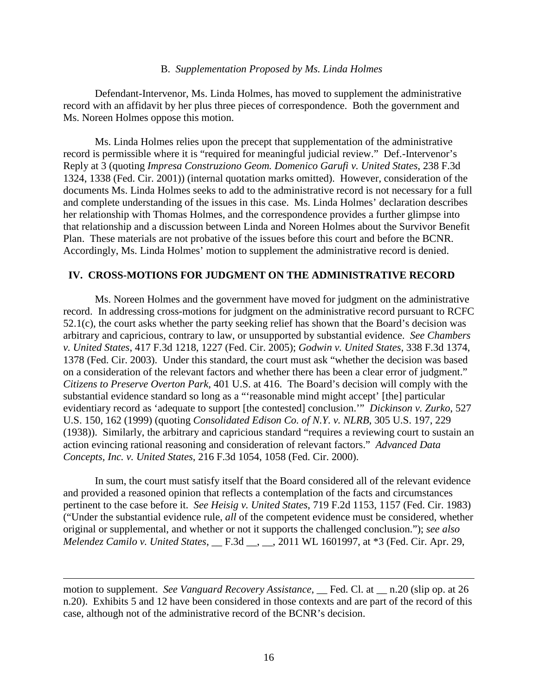## B. *Supplementation Proposed by Ms. Linda Holmes*

Defendant-Intervenor, Ms. Linda Holmes, has moved to supplement the administrative record with an affidavit by her plus three pieces of correspondence. Both the government and Ms. Noreen Holmes oppose this motion.

Ms. Linda Holmes relies upon the precept that supplementation of the administrative record is permissible where it is "required for meaningful judicial review." Def.-Intervenor's Reply at 3 (quoting *Impresa Construziono Geom. Domenico Garufi v. United States*, 238 F.3d 1324, 1338 (Fed. Cir. 2001)) (internal quotation marks omitted). However, consideration of the documents Ms. Linda Holmes seeks to add to the administrative record is not necessary for a full and complete understanding of the issues in this case. Ms. Linda Holmes' declaration describes her relationship with Thomas Holmes, and the correspondence provides a further glimpse into that relationship and a discussion between Linda and Noreen Holmes about the Survivor Benefit Plan. These materials are not probative of the issues before this court and before the BCNR. Accordingly, Ms. Linda Holmes' motion to supplement the administrative record is denied.

# **IV. CROSS-MOTIONS FOR JUDGMENT ON THE ADMINISTRATIVE RECORD**

Ms. Noreen Holmes and the government have moved for judgment on the administrative record. In addressing cross-motions for judgment on the administrative record pursuant to RCFC 52.1(c), the court asks whether the party seeking relief has shown that the Board's decision was arbitrary and capricious, contrary to law, or unsupported by substantial evidence. *See Chambers v. United States*, 417 F.3d 1218, 1227 (Fed. Cir. 2005); *Godwin v. United States*, 338 F.3d 1374, 1378 (Fed. Cir. 2003). Under this standard, the court must ask "whether the decision was based on a consideration of the relevant factors and whether there has been a clear error of judgment." *Citizens to Preserve Overton Park*, 401 U.S. at 416. The Board's decision will comply with the substantial evidence standard so long as a "'reasonable mind might accept' [the] particular evidentiary record as 'adequate to support [the contested] conclusion.'" *Dickinson v. Zurko*, 527 U.S. 150, 162 (1999) (quoting *Consolidated Edison Co. of N.Y. v. NLRB*, 305 U.S. 197, 229 (1938)). Similarly, the arbitrary and capricious standard "requires a reviewing court to sustain an action evincing rational reasoning and consideration of relevant factors." *Advanced Data Concepts, Inc. v. United States*, 216 F.3d 1054, 1058 (Fed. Cir. 2000).

In sum, the court must satisfy itself that the Board considered all of the relevant evidence and provided a reasoned opinion that reflects a contemplation of the facts and circumstances pertinent to the case before it. *See Heisig v. United States*, 719 F.2d 1153, 1157 (Fed. Cir. 1983) ("Under the substantial evidence rule, *all* of the competent evidence must be considered, whether original or supplemental, and whether or not it supports the challenged conclusion."); *see also Melendez Camilo v. United States*, \_\_ F.3d \_\_, \_\_, 2011 WL 1601997, at \*3 (Fed. Cir. Apr. 29,

motion to supplement. *See Vanguard Recovery Assistance*, Fed. Cl. at \_\_ n.20 (slip op. at 26 n.20). Exhibits 5 and 12 have been considered in those contexts and are part of the record of this case, although not of the administrative record of the BCNR's decision.

 $\overline{a}$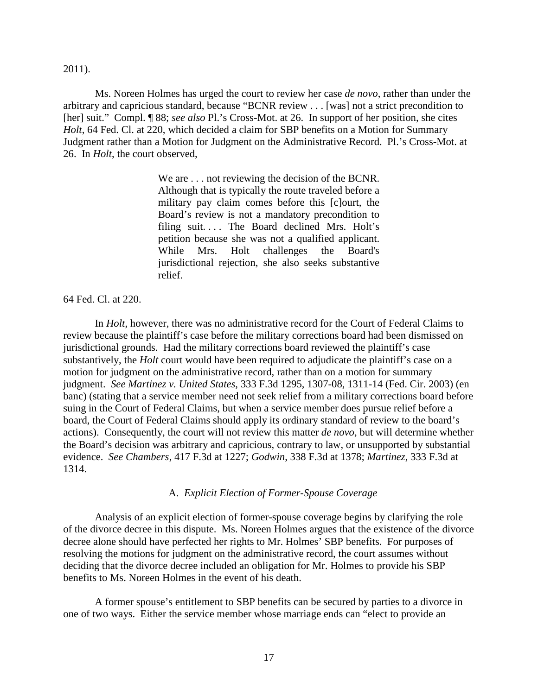#### 2011).

Ms. Noreen Holmes has urged the court to review her case *de novo*, rather than under the arbitrary and capricious standard, because "BCNR review . . . [was] not a strict precondition to [her] suit." Compl. ¶ 88; *see also* Pl.'s Cross-Mot. at 26. In support of her position, she cites *Holt*, 64 Fed. Cl. at 220, which decided a claim for SBP benefits on a Motion for Summary Judgment rather than a Motion for Judgment on the Administrative Record. Pl.'s Cross-Mot. at 26. In *Holt*, the court observed,

> We are . . . not reviewing the decision of the BCNR. Although that is typically the route traveled before a military pay claim comes before this [c]ourt, the Board's review is not a mandatory precondition to filing suit.... The Board declined Mrs. Holt's petition because she was not a qualified applicant. While Mrs. Holt challenges the Board's jurisdictional rejection, she also seeks substantive relief.

64 Fed. Cl. at 220.

In *Holt*, however, there was no administrative record for the Court of Federal Claims to review because the plaintiff's case before the military corrections board had been dismissed on jurisdictional grounds. Had the military corrections board reviewed the plaintiff's case substantively, the *Holt* court would have been required to adjudicate the plaintiff's case on a motion for judgment on the administrative record, rather than on a motion for summary judgment. *See Martinez v. United States*, 333 F.3d 1295, 1307-08, 1311-14 (Fed. Cir. 2003) (en banc) (stating that a service member need not seek relief from a military corrections board before suing in the Court of Federal Claims, but when a service member does pursue relief before a board, the Court of Federal Claims should apply its ordinary standard of review to the board's actions). Consequently, the court will not review this matter *de novo*, but will determine whether the Board's decision was arbitrary and capricious, contrary to law, or unsupported by substantial evidence. *See Chambers*, 417 F.3d at 1227; *Godwin*, 338 F.3d at 1378; *Martinez*, 333 F.3d at 1314.

## A. *Explicit Election of Former-Spouse Coverage*

Analysis of an explicit election of former-spouse coverage begins by clarifying the role of the divorce decree in this dispute. Ms. Noreen Holmes argues that the existence of the divorce decree alone should have perfected her rights to Mr. Holmes' SBP benefits. For purposes of resolving the motions for judgment on the administrative record, the court assumes without deciding that the divorce decree included an obligation for Mr. Holmes to provide his SBP benefits to Ms. Noreen Holmes in the event of his death.

A former spouse's entitlement to SBP benefits can be secured by parties to a divorce in one of two ways. Either the service member whose marriage ends can "elect to provide an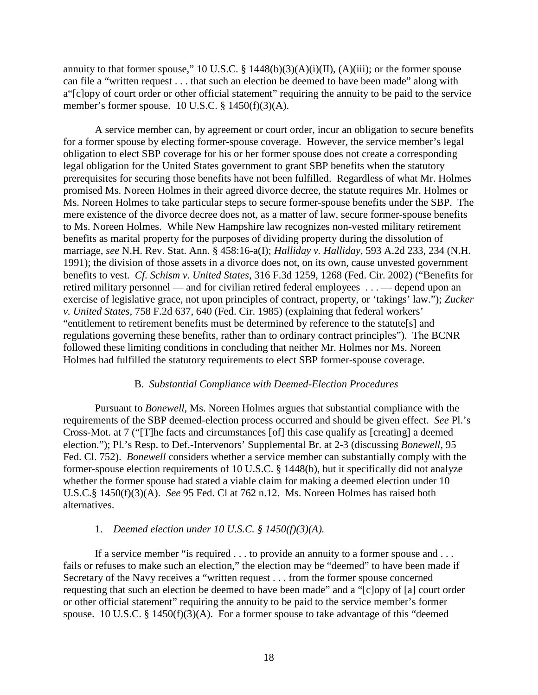annuity to that former spouse," 10 U.S.C. § 1448(b)(3)(A)(i)(II), (A)(iii); or the former spouse can file a "written request . . . that such an election be deemed to have been made" along with a"[c]opy of court order or other official statement" requiring the annuity to be paid to the service member's former spouse. 10 U.S.C. § 1450(f)(3)(A).

A service member can, by agreement or court order, incur an obligation to secure benefits for a former spouse by electing former-spouse coverage. However, the service member's legal obligation to elect SBP coverage for his or her former spouse does not create a corresponding legal obligation for the United States government to grant SBP benefits when the statutory prerequisites for securing those benefits have not been fulfilled. Regardless of what Mr. Holmes promised Ms. Noreen Holmes in their agreed divorce decree, the statute requires Mr. Holmes or Ms. Noreen Holmes to take particular steps to secure former-spouse benefits under the SBP. The mere existence of the divorce decree does not, as a matter of law, secure former-spouse benefits to Ms. Noreen Holmes. While New Hampshire law recognizes non-vested military retirement benefits as marital property for the purposes of dividing property during the dissolution of marriage, *see* N.H. Rev. Stat. Ann. § 458:16-a(I); *Halliday v. Halliday*, 593 A.2d 233, 234 (N.H. 1991); the division of those assets in a divorce does not, on its own, cause unvested government benefits to vest. *Cf. Schism v. United States*, 316 F.3d 1259, 1268 (Fed. Cir. 2002) ("Benefits for retired military personnel — and for civilian retired federal employees . . . — depend upon an exercise of legislative grace, not upon principles of contract, property, or 'takings' law."); *Zucker v. United States,* 758 F.2d 637, 640 (Fed. Cir. 1985) (explaining that federal workers' "entitlement to retirement benefits must be determined by reference to the statute[s] and regulations governing these benefits, rather than to ordinary contract principles"). The BCNR followed these limiting conditions in concluding that neither Mr. Holmes nor Ms. Noreen Holmes had fulfilled the statutory requirements to elect SBP former-spouse coverage.

## B. *Substantial Compliance with Deemed-Election Procedures*

Pursuant to *Bonewell*, Ms. Noreen Holmes argues that substantial compliance with the requirements of the SBP deemed-election process occurred and should be given effect. *See* Pl.'s Cross-Mot. at 7 ("[T]he facts and circumstances [of] this case qualify as [creating] a deemed election."); Pl.'s Resp. to Def.-Intervenors' Supplemental Br. at 2-3 (discussing *Bonewell*, 95 Fed. Cl. 752). *Bonewell* considers whether a service member can substantially comply with the former-spouse election requirements of 10 U.S.C. § 1448(b), but it specifically did not analyze whether the former spouse had stated a viable claim for making a deemed election under 10 U.S.C.§ 1450(f)(3)(A). *See* 95 Fed. Cl at 762 n.12. Ms. Noreen Holmes has raised both alternatives.

## 1. *Deemed election under 10 U.S.C. § 1450(f)(3)(A).*

If a service member "is required . . . to provide an annuity to a former spouse and . . . fails or refuses to make such an election," the election may be "deemed" to have been made if Secretary of the Navy receives a "written request . . . from the former spouse concerned requesting that such an election be deemed to have been made" and a "[c]opy of [a] court order or other official statement" requiring the annuity to be paid to the service member's former spouse. 10 U.S.C. § 1450(f)(3)(A). For a former spouse to take advantage of this "deemed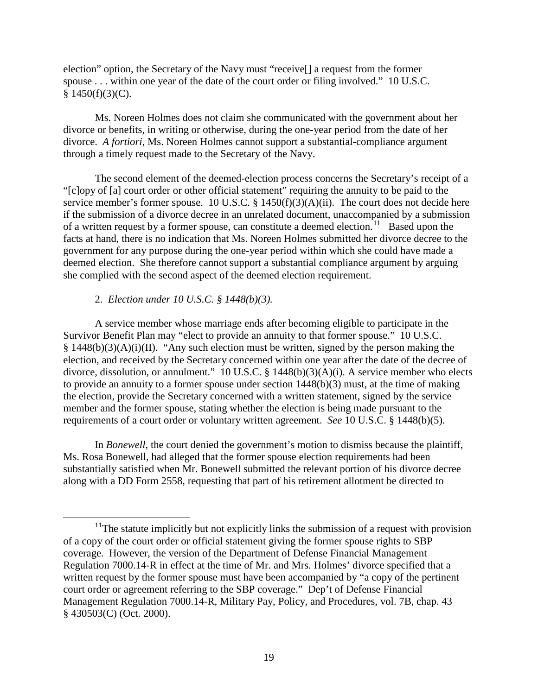election" option, the Secretary of the Navy must "receive[] a request from the former spouse . . . within one year of the date of the court order or filing involved." 10 U.S.C.  $§$  1450(f)(3)(C).

Ms. Noreen Holmes does not claim she communicated with the government about her divorce or benefits, in writing or otherwise, during the one-year period from the date of her divorce. *A fortiori*, Ms. Noreen Holmes cannot support a substantial-compliance argument through a timely request made to the Secretary of the Navy.

The second element of the deemed-election process concerns the Secretary's receipt of a "[c]opy of [a] court order or other official statement" requiring the annuity to be paid to the service member's former spouse. 10 U.S.C. § 1450(f)(3)(A)(ii). The court does not decide here if the submission of a divorce decree in an unrelated document, unaccompanied by a submission of a written request by a former spouse, can constitute a deemed election.<sup>[11](#page-18-0)</sup> Based upon the facts at hand, there is no indication that Ms. Noreen Holmes submitted her divorce decree to the government for any purpose during the one-year period within which she could have made a deemed election. She therefore cannot support a substantial compliance argument by arguing she complied with the second aspect of the deemed election requirement.

# 2. *Election under 10 U.S.C. § 1448(b)(3).*

A service member whose marriage ends after becoming eligible to participate in the Survivor Benefit Plan may "elect to provide an annuity to that former spouse." 10 U.S.C.  $§$  1448(b)(3)(A)(i)(II). "Any such election must be written, signed by the person making the election, and received by the Secretary concerned within one year after the date of the decree of divorce, dissolution, or annulment." 10 U.S.C. § 1448(b)(3)(A)(i). A service member who elects to provide an annuity to a former spouse under section 1448(b)(3) must, at the time of making the election, provide the Secretary concerned with a written statement, signed by the service member and the former spouse, stating whether the election is being made pursuant to the requirements of a court order or voluntary written agreement. *See* 10 U.S.C. § 1448(b)(5).

In *Bonewell*, the court denied the government's motion to dismiss because the plaintiff, Ms. Rosa Bonewell, had alleged that the former spouse election requirements had been substantially satisfied when Mr. Bonewell submitted the relevant portion of his divorce decree along with a DD Form 2558, requesting that part of his retirement allotment be directed to

<span id="page-18-0"></span> $11$ <sup>11</sup>The statute implicitly but not explicitly links the submission of a request with provision of a copy of the court order or official statement giving the former spouse rights to SBP coverage. However, the version of the Department of Defense Financial Management Regulation 7000.14-R in effect at the time of Mr. and Mrs. Holmes' divorce specified that a written request by the former spouse must have been accompanied by "a copy of the pertinent court order or agreement referring to the SBP coverage." Dep't of Defense Financial Management Regulation 7000.14-R, Military Pay, Policy, and Procedures, vol. 7B, chap. 43 § 430503(C) (Oct. 2000).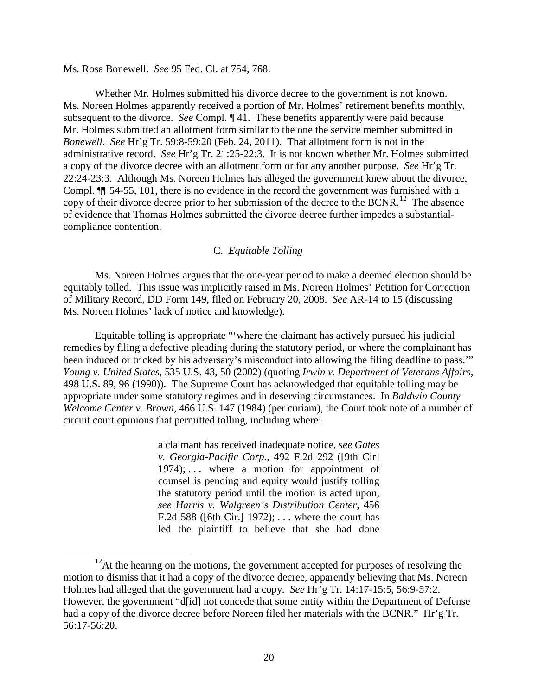Ms. Rosa Bonewell. *See* 95 Fed. Cl. at 754, 768.

Whether Mr. Holmes submitted his divorce decree to the government is not known. Ms. Noreen Holmes apparently received a portion of Mr. Holmes' retirement benefits monthly, subsequent to the divorce. *See* Compl. ¶ 41. These benefits apparently were paid because Mr. Holmes submitted an allotment form similar to the one the service member submitted in *Bonewell*. *See* Hr'g Tr. 59:8-59:20 (Feb. 24, 2011). That allotment form is not in the administrative record. *See* Hr'g Tr. 21:25-22:3. It is not known whether Mr. Holmes submitted a copy of the divorce decree with an allotment form or for any another purpose. *See* Hr'g Tr. 22:24-23:3. Although Ms. Noreen Holmes has alleged the government knew about the divorce, Compl. ¶¶ 54-55, 101, there is no evidence in the record the government was furnished with a copy of their divorce decree prior to her submission of the decree to the BCNR.<sup>[12](#page-19-0)</sup> The absence of evidence that Thomas Holmes submitted the divorce decree further impedes a substantialcompliance contention.

## C. *Equitable Tolling*

Ms. Noreen Holmes argues that the one-year period to make a deemed election should be equitably tolled. This issue was implicitly raised in Ms. Noreen Holmes' Petition for Correction of Military Record, DD Form 149, filed on February 20, 2008. *See* AR-14 to 15 (discussing Ms. Noreen Holmes' lack of notice and knowledge).

Equitable tolling is appropriate "'where the claimant has actively pursued his judicial remedies by filing a defective pleading during the statutory period, or where the complainant has been induced or tricked by his adversary's misconduct into allowing the filing deadline to pass.'" *Young v. United States*, 535 U.S. 43, 50 (2002) (quoting *Irwin v. Department of Veterans Affairs*, 498 U.S. 89, 96 (1990)). The Supreme Court has acknowledged that equitable tolling may be appropriate under some statutory regimes and in deserving circumstances. In *Baldwin County Welcome Center v. Brown*, 466 U.S. 147 (1984) (per curiam), the Court took note of a number of circuit court opinions that permitted tolling, including where:

> a claimant has received inadequate notice, *see Gates v. Georgia-Pacific Corp.*, 492 F.2d 292 ([9th Cir] 1974);  $\ldots$  where a motion for appointment of counsel is pending and equity would justify tolling the statutory period until the motion is acted upon*, see Harris v. Walgreen's Distribution Center*, 456 F.2d 588 ([6th Cir.] 1972); . . . where the court has led the plaintiff to believe that she had done

<span id="page-19-0"></span> $12$ At the hearing on the motions, the government accepted for purposes of resolving the motion to dismiss that it had a copy of the divorce decree, apparently believing that Ms. Noreen Holmes had alleged that the government had a copy. *See* Hr'g Tr. 14:17-15:5, 56:9-57:2. However, the government "d[id] not concede that some entity within the Department of Defense had a copy of the divorce decree before Noreen filed her materials with the BCNR." Hr'g Tr. 56:17-56:20.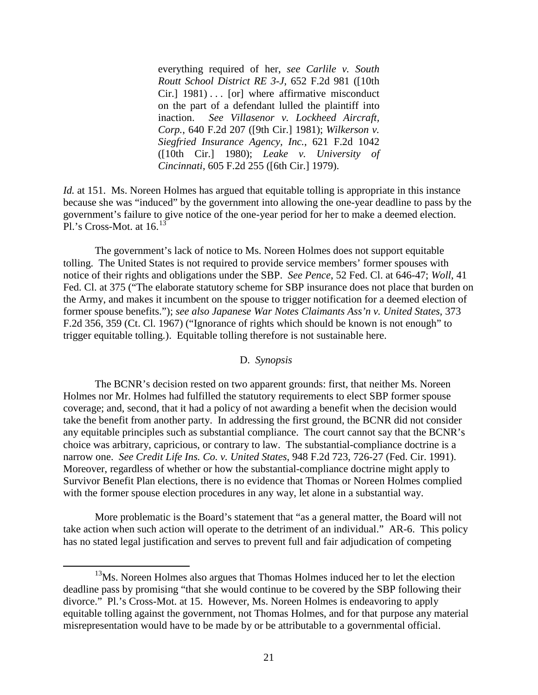everything required of her, *see Carlile v. South Routt School District RE 3-J*, 652 F.2d 981 ([10th Cir.] 1981) . . . [or] where affirmative misconduct on the part of a defendant lulled the plaintiff into inaction. *See Villasenor v. Lockheed Aircraft, Corp.*, 640 F.2d 207 ([9th Cir.] 1981); *Wilkerson v. Siegfried Insurance Agency, Inc.*, 621 F.2d 1042 ([10th Cir.] 1980); *Leake v. University of Cincinnati*, 605 F.2d 255 ([6th Cir.] 1979).

*Id.* at 151. Ms. Noreen Holmes has argued that equitable tolling is appropriate in this instance because she was "induced" by the government into allowing the one-year deadline to pass by the government's failure to give notice of the one-year period for her to make a deemed election. Pl.'s Cross-Mot. at  $16.<sup>13</sup>$  $16.<sup>13</sup>$  $16.<sup>13</sup>$ 

The government's lack of notice to Ms. Noreen Holmes does not support equitable tolling. The United States is not required to provide service members' former spouses with notice of their rights and obligations under the SBP. *See Pence*, 52 Fed. Cl. at 646-47; *Woll*, 41 Fed. Cl. at 375 ("The elaborate statutory scheme for SBP insurance does not place that burden on the Army, and makes it incumbent on the spouse to trigger notification for a deemed election of former spouse benefits."); *see also Japanese War Notes Claimants Ass'n v. United States*, 373 F.2d 356, 359 (Ct. Cl. 1967) ("Ignorance of rights which should be known is not enough" to trigger equitable tolling.). Equitable tolling therefore is not sustainable here.

## D. *Synopsis*

The BCNR's decision rested on two apparent grounds: first, that neither Ms. Noreen Holmes nor Mr. Holmes had fulfilled the statutory requirements to elect SBP former spouse coverage; and, second, that it had a policy of not awarding a benefit when the decision would take the benefit from another party. In addressing the first ground, the BCNR did not consider any equitable principles such as substantial compliance. The court cannot say that the BCNR's choice was arbitrary, capricious, or contrary to law. The substantial-compliance doctrine is a narrow one. *See Credit Life Ins. Co. v. United States*, 948 F.2d 723, 726-27 (Fed. Cir. 1991). Moreover, regardless of whether or how the substantial-compliance doctrine might apply to Survivor Benefit Plan elections, there is no evidence that Thomas or Noreen Holmes complied with the former spouse election procedures in any way, let alone in a substantial way.

More problematic is the Board's statement that "as a general matter, the Board will not take action when such action will operate to the detriment of an individual." AR-6. This policy has no stated legal justification and serves to prevent full and fair adjudication of competing

<span id="page-20-0"></span><sup>&</sup>lt;sup>13</sup>Ms. Noreen Holmes also argues that Thomas Holmes induced her to let the election deadline pass by promising "that she would continue to be covered by the SBP following their divorce." Pl.'s Cross-Mot. at 15. However, Ms. Noreen Holmes is endeavoring to apply equitable tolling against the government, not Thomas Holmes, and for that purpose any material misrepresentation would have to be made by or be attributable to a governmental official.